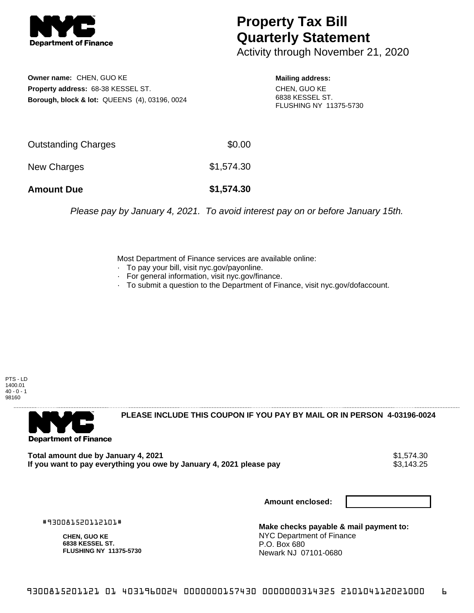

## **Property Tax Bill Quarterly Statement**

Activity through November 21, 2020

**Owner name:** CHEN, GUO KE **Property address:** 68-38 KESSEL ST. **Borough, block & lot:** QUEENS (4), 03196, 0024 **Mailing address:**

CHEN, GUO KE 6838 KESSEL ST. FLUSHING NY 11375-5730

| <b>Amount Due</b>   | \$1,574.30 |
|---------------------|------------|
| New Charges         | \$1,574.30 |
| Outstanding Charges | \$0.00     |

Please pay by January 4, 2021. To avoid interest pay on or before January 15th.

Most Department of Finance services are available online:

- · To pay your bill, visit nyc.gov/payonline.
- For general information, visit nyc.gov/finance.
- · To submit a question to the Department of Finance, visit nyc.gov/dofaccount.

PTS - LD 1400.01  $40 - 0 - 1$ 98160



**PLEASE INCLUDE THIS COUPON IF YOU PAY BY MAIL OR IN PERSON 4-03196-0024** 

**Total amount due by January 4, 2021**<br>If you want to pay everything you owe by January 4, 2021 please pay **show that the set of the set of the s**3,143.25 If you want to pay everything you owe by January 4, 2021 please pay

**Amount enclosed:**

#930081520112101#

**CHEN, GUO KE 6838 KESSEL ST. FLUSHING NY 11375-5730**

**Make checks payable & mail payment to:** NYC Department of Finance P.O. Box 680 Newark NJ 07101-0680